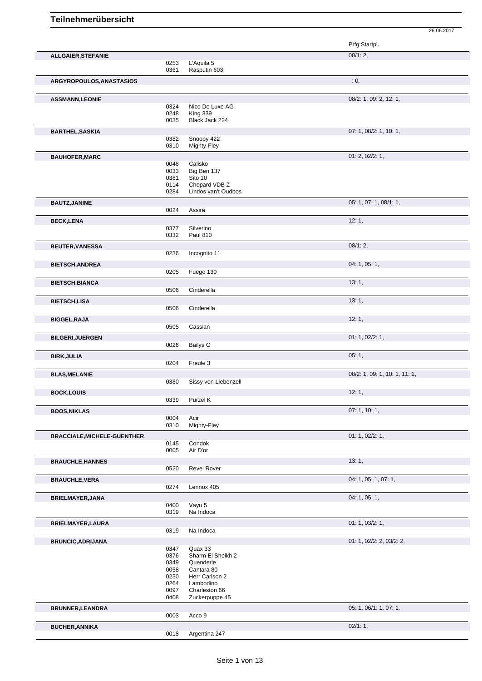|                                    |              |                                 | Prfg:Startpl.                 |
|------------------------------------|--------------|---------------------------------|-------------------------------|
| ALLGAIER, STEFANIE                 |              |                                 | 08/1:2,                       |
|                                    | 0253<br>0361 | L'Aquila 5<br>Rasputin 603      |                               |
| ARGYROPOULOS, ANASTASIOS           |              |                                 | : 0,                          |
|                                    |              |                                 | 08/2: 1, 09: 2, 12: 1,        |
| <b>ASSMANN,LEONIE</b>              | 0324         | Nico De Luxe AG                 |                               |
|                                    | 0248         | King 339                        |                               |
|                                    | 0035         | Black Jack 224                  |                               |
| <b>BARTHEL, SASKIA</b>             |              |                                 | 07: 1, 08/2: 1, 10: 1,        |
|                                    | 0382<br>0310 | Snoopy 422<br>Mighty-Fley       |                               |
| <b>BAUHOFER, MARC</b>              |              |                                 | 01: 2, 02/2: 1,               |
|                                    | 0048         | Calisko                         |                               |
|                                    | 0033         | Big Ben 137                     |                               |
|                                    | 0381<br>0114 | Sito 10<br>Chopard VDB Z        |                               |
|                                    | 0284         | Lindos van't Oudbos             |                               |
| <b>BAUTZ, JANINE</b>               |              |                                 | 05: 1, 07: 1, 08/1: 1,        |
|                                    | 0024         | Assira                          |                               |
| <b>BECK,LENA</b>                   |              |                                 | 12:1,                         |
|                                    | 0377<br>0332 | Silverino<br><b>Paul 810</b>    |                               |
|                                    |              |                                 |                               |
| <b>BEUTER, VANESSA</b>             | 0236         | Incognito 11                    | $08/1:2$ ,                    |
|                                    |              |                                 | 04: 1, 05: 1,                 |
| <b>BIETSCH, ANDREA</b>             | 0205         | Fuego 130                       |                               |
| <b>BIETSCH, BIANCA</b>             |              |                                 | 13:1,                         |
|                                    | 0506         | Cinderella                      |                               |
| <b>BIETSCH,LISA</b>                |              |                                 | 13:1,                         |
|                                    | 0506         | Cinderella                      |                               |
| <b>BIGGEL, RAJA</b>                |              |                                 | 12:1,                         |
|                                    | 0505         | Cassian                         |                               |
| <b>BILGERI, JUERGEN</b>            |              |                                 | 01: 1, 02/2: 1,               |
|                                    | 0026         | Bailys O                        |                               |
| <b>BIRK, JULIA</b>                 | 0204         | Freule 3                        | 05:1,                         |
|                                    |              |                                 | 08/2: 1, 09: 1, 10: 1, 11: 1, |
| <b>BLAS, MELANIE</b>               | 0380         | Sissy von Liebenzell            |                               |
| <b>BOCK,LOUIS</b>                  |              |                                 | 12:1,                         |
|                                    | 0339         | Purzel K                        |                               |
| <b>BOOS, NIKLAS</b>                |              |                                 | 07: 1, 10: 1,                 |
|                                    | 0004         | Acir                            |                               |
|                                    | 0310         | Mighty-Fley                     |                               |
| <b>BRACCIALE, MICHELE-GUENTHER</b> |              |                                 | 01: 1, 02/2: 1,               |
|                                    | 0145<br>0005 | Condok<br>Air D'or              |                               |
| <b>BRAUCHLE, HANNES</b>            |              |                                 | 13:1,                         |
|                                    | 0520         | <b>Revel Rover</b>              |                               |
| <b>BRAUCHLE, VERA</b>              |              |                                 | 04: 1, 05: 1, 07: 1,          |
|                                    | 0274         | Lennox 405                      |                               |
| <b>BRIELMAYER, JANA</b>            |              |                                 | 04: 1, 05: 1,                 |
|                                    | 0400         | Vayu 5                          |                               |
|                                    | 0319         | Na Indoca                       |                               |
| <b>BRIELMAYER, LAURA</b>           | 0319         | Na Indoca                       | 01: 1, 03/2: 1,               |
|                                    |              |                                 | 01: 1, 02/2: 2, 03/2: 2,      |
| <b>BRUNCIC, ADRIJANA</b>           | 0347         | Quax 33                         |                               |
|                                    | 0376         | Sharm El Sheikh 2               |                               |
|                                    | 0349<br>0058 | Quenderle<br>Cantara 80         |                               |
|                                    | 0230         | Herr Carlson 2                  |                               |
|                                    | 0264         | Lambodino                       |                               |
|                                    | 0097<br>0408 | Charleston 66<br>Zuckerpuppe 45 |                               |
| <b>BRUNNER, LEANDRA</b>            |              |                                 | 05: 1, 06/1: 1, 07: 1,        |
|                                    | 0003         | Acco 9                          |                               |
| <b>BUCHER, ANNIKA</b>              |              |                                 | 02/1:1,                       |
|                                    |              |                                 |                               |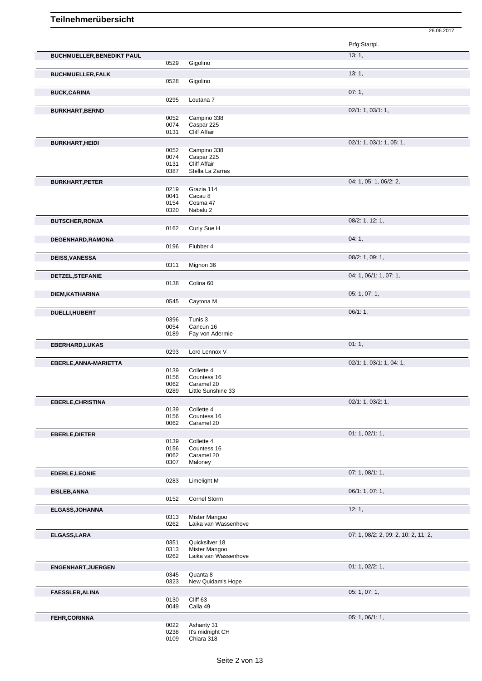|                                                                                        |              |                                | Prfg:Startpl.                        |
|----------------------------------------------------------------------------------------|--------------|--------------------------------|--------------------------------------|
| <b>BUCHMUELLER, BENEDIKT PAUL</b>                                                      |              |                                | 13:1,                                |
|                                                                                        | 0529         | Gigolino                       |                                      |
| <b>BUCHMUELLER,FALK</b>                                                                |              |                                | 13:1,                                |
|                                                                                        | 0528         | Gigolino                       |                                      |
| <b>BUCK,CARINA</b>                                                                     |              |                                | 07:1,                                |
|                                                                                        | 0295         | Loutana <sub>7</sub>           |                                      |
| <b>BURKHART, BERND</b>                                                                 |              |                                | 02/1: 1, 03/1: 1,                    |
|                                                                                        | 0052         | Campino 338                    |                                      |
|                                                                                        | 0074         | Caspar 225                     |                                      |
|                                                                                        | 0131         | Cliff Affair                   |                                      |
| <b>BURKHART, HEIDI</b>                                                                 |              |                                | 02/1: 1, 03/1: 1, 05: 1,             |
|                                                                                        | 0052<br>0074 | Campino 338<br>Caspar 225      |                                      |
|                                                                                        | 0131         | Cliff Affair                   |                                      |
|                                                                                        | 0387         | Stella La Zarras               |                                      |
| <b>BURKHART, PETER</b>                                                                 |              |                                | 04: 1, 05: 1, 06/2: 2,               |
|                                                                                        | 0219<br>0041 | Grazia 114<br>Cacau 8          |                                      |
|                                                                                        | 0154         | Cosma 47                       |                                      |
|                                                                                        | 0320         | Nabalu 2                       |                                      |
| <b>BUTSCHER, RONJA</b>                                                                 |              |                                | 08/2: 1, 12: 1,                      |
|                                                                                        | 0162         | Curly Sue H                    |                                      |
| DEGENHARD, RAMONA                                                                      |              |                                | 04:1,                                |
|                                                                                        | 0196         | Flubber 4                      |                                      |
| <b>DEISS, VANESSA</b>                                                                  |              |                                | 08/2: 1, 09: 1,                      |
|                                                                                        | 0311         | Mignon 36                      |                                      |
| DETZEL, STEFANIE                                                                       |              |                                | 04: 1, 06/1: 1, 07: 1,               |
|                                                                                        | 0138         | Colina 60                      |                                      |
| DIEM, KATHARINA                                                                        |              |                                | 05: 1, 07: 1,                        |
|                                                                                        | 0545         | Caytona M                      |                                      |
| DUELLI, HUBERT                                                                         |              |                                | 06/1:1,                              |
|                                                                                        | 0396<br>0054 | Tunis 3<br>Cancun 16           |                                      |
|                                                                                        | 0189         | Fay von Adermie                |                                      |
| <b>EBERHARD,LUKAS</b>                                                                  |              |                                | 01:1,                                |
|                                                                                        | 0293         | Lord Lennox V                  |                                      |
| EBERLE, ANNA-MARIETTA                                                                  |              |                                | 02/1: 1, 03/1: 1, 04: 1,             |
|                                                                                        | 0139<br>0156 | Collette 4<br>Countess 16      |                                      |
|                                                                                        | 0062         | Caramel 20                     |                                      |
|                                                                                        |              | Little Sunshine 33             |                                      |
|                                                                                        | 0289         |                                |                                      |
|                                                                                        |              |                                | 02/1: 1, 03/2: 1,                    |
|                                                                                        | 0139         | Collette 4                     |                                      |
|                                                                                        | 0156         | Countess 16                    |                                      |
|                                                                                        | 0062         | Caramel 20                     |                                      |
|                                                                                        | 0139         | Collette 4                     | 01: 1, 02/1: 1,                      |
|                                                                                        | 0156         | Countess 16                    |                                      |
|                                                                                        | 0062         | Caramel 20                     |                                      |
| <b>EBERLE, CHRISTINA</b><br><b>EBERLE, DIETER</b>                                      | 0307         | Maloney                        |                                      |
| EDERLE, LEONIE                                                                         |              |                                | 07: 1, 08/1: 1,                      |
|                                                                                        | 0283         | Limelight M                    |                                      |
| EISLEB, ANNA                                                                           | 0152         | Cornel Storm                   | 06/1: 1, 07: 1,                      |
|                                                                                        |              |                                |                                      |
|                                                                                        | 0313         | Mister Mangoo                  | 12:1,                                |
|                                                                                        | 0262         | Laika van Wassenhove           |                                      |
|                                                                                        |              |                                | 07: 1, 08/2: 2, 09: 2, 10: 2, 11: 2, |
|                                                                                        | 0351         | Quicksilver 18                 |                                      |
|                                                                                        | 0313         | Mister Mangoo                  |                                      |
|                                                                                        | 0262         | Laika van Wassenhove           |                                      |
|                                                                                        | 0345         | Quanta 8                       | 01: 1, 02/2: 1,                      |
|                                                                                        | 0323         | New Quidam's Hope              |                                      |
|                                                                                        |              |                                | 05: 1, 07: 1,                        |
|                                                                                        | 0130         | Cliff 63                       |                                      |
| ELGASS, JOHANNA<br>ELGASS, LARA<br><b>ENGENHART, JUERGEN</b><br><b>FAESSLER, ALINA</b> | 0049         | Calla 49                       |                                      |
| <b>FEHR, CORINNA</b>                                                                   |              |                                | 05: 1, 06/1: 1,                      |
|                                                                                        | 0022<br>0238 | Ashanty 31<br>It's midnight CH |                                      |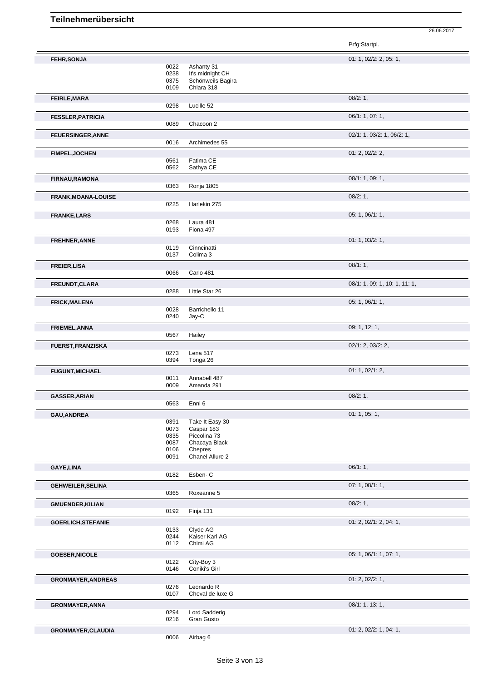|                            |              |                                | 01: 1, 02/2: 2, 05: 1,              |
|----------------------------|--------------|--------------------------------|-------------------------------------|
| <b>FEHR, SONJA</b>         | 0022         |                                |                                     |
|                            | 0238         | Ashanty 31<br>It's midnight CH |                                     |
|                            | 0375         | Schönweils Bagira              |                                     |
|                            | 0109         | Chiara 318                     |                                     |
|                            |              |                                |                                     |
| <b>FEIRLE, MARA</b>        |              |                                | 08/2:1,                             |
|                            | 0298         | Lucille 52                     |                                     |
| <b>FESSLER, PATRICIA</b>   |              |                                | 06/1: 1, 07: 1,                     |
|                            | 0089         | Chacoon 2                      |                                     |
|                            |              |                                |                                     |
| <b>FEUERSINGER, ANNE</b>   |              | Archimedes 55                  | $02/1$ : 1, $03/2$ : 1, $06/2$ : 1, |
|                            | 0016         |                                |                                     |
| <b>FIMPEL, JOCHEN</b>      |              |                                | 01: 2, 02/2: 2,                     |
|                            | 0561         | Fatima CE                      |                                     |
|                            | 0562         | Sathya CE                      |                                     |
| <b>FIRNAU, RAMONA</b>      |              |                                | 08/1: 1, 09: 1,                     |
|                            | 0363         | Ronja 1805                     |                                     |
|                            |              |                                |                                     |
| <b>FRANK, MOANA-LOUISE</b> |              |                                | 08/2:1,                             |
|                            | 0225         | Harlekin 275                   |                                     |
| <b>FRANKE,LARS</b>         |              |                                | 05: 1, 06/1: 1,                     |
|                            | 0268         | Laura 481                      |                                     |
|                            | 0193         | Fiona 497                      |                                     |
| FREHNER, ANNE              |              |                                | 01: 1, 03/2: 1,                     |
|                            | 0119         | Cinncinatti                    |                                     |
|                            | 0137         | Colima 3                       |                                     |
|                            |              |                                |                                     |
| <b>FREIER, LISA</b>        |              |                                | 08/1:1,                             |
|                            | 0066         | Carlo 481                      |                                     |
| FREUNDT, CLARA             |              |                                | 08/1: 1, 09: 1, 10: 1, 11: 1,       |
|                            | 0288         | Little Star 26                 |                                     |
|                            |              |                                | 05: 1, 06/1: 1,                     |
| <b>FRICK, MALENA</b>       | 0028         | Barrichello 11                 |                                     |
|                            | 0240         | Jay-C                          |                                     |
|                            |              |                                |                                     |
| FRIEMEL, ANNA              |              |                                | 09: 1, 12: 1,                       |
|                            | 0567         | Hailey                         |                                     |
| <b>FUERST, FRANZISKA</b>   |              |                                | $02/1$ : 2, $03/2$ : 2,             |
|                            | 0273         | Lena 517                       |                                     |
|                            | 0394         | Tonga 26                       |                                     |
|                            |              |                                | 01: 1, 02/1: 2,                     |
| <b>FUGUNT, MICHAEL</b>     | 0011         | Annabell 487                   |                                     |
|                            | 0009         | Amanda 291                     |                                     |
|                            |              |                                |                                     |
| <b>GASSER, ARIAN</b>       |              |                                | 08/2:1,                             |
|                            | 0563         | Enni 6                         |                                     |
| GAU, ANDREA                |              |                                | 01: 1, 05: 1,                       |
|                            | 0391         | Take It Easy 30                |                                     |
|                            | 0073         | Caspar 183                     |                                     |
|                            | 0335         | Piccolina 73                   |                                     |
|                            | 0087         | Chacaya Black                  |                                     |
|                            | 0106         | Chepres                        |                                     |
|                            | 0091         | Chanel Allure 2                |                                     |
| <b>GAYE,LINA</b>           |              |                                | 06/1:1,                             |
|                            | 0182         | Esben-C                        |                                     |
| <b>GEHWEILER, SELINA</b>   |              |                                | 07: 1, 08/1: 1,                     |
|                            | 0365         | Roxeanne 5                     |                                     |
|                            |              |                                |                                     |
| <b>GMUENDER, KILIAN</b>    |              |                                | 08/2:1,                             |
|                            | 0192         | Finja 131                      |                                     |
| <b>GOERLICH, STEFANIE</b>  |              |                                | 01: 2, 02/1: 2, 04: 1,              |
|                            | 0133         | Clyde AG                       |                                     |
|                            | 0244         | Kaiser Karl AG                 |                                     |
|                            | 0112         | Chimi AG                       |                                     |
|                            |              |                                | 05: 1, 06/1: 1, 07: 1,              |
| <b>GOESER, NICOLE</b>      |              |                                |                                     |
|                            | 0122<br>0146 | City-Boy 3<br>Coniki's Girl    |                                     |
|                            |              |                                |                                     |
| <b>GRONMAYER, ANDREAS</b>  |              |                                | 01: 2, 02/2: 1,                     |
|                            | 0276         | Leonardo R                     |                                     |
|                            | 0107         | Cheval de luxe G               |                                     |
| GRONMAYER, ANNA            |              |                                | 08/1: 1, 13: 1,                     |
|                            | 0294         | Lord Sadderig                  |                                     |
|                            | 0216         | Gran Gusto                     |                                     |
|                            |              |                                |                                     |
| <b>GRONMAYER, CLAUDIA</b>  |              |                                | 01: 2, 02/2: 1, 04: 1,              |
|                            | 0006         | Airbag 6                       |                                     |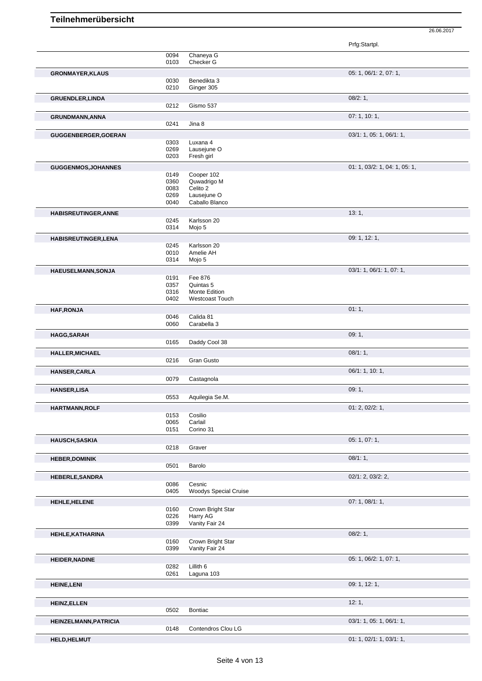| Chaneya G<br>0094<br>0103<br>Checker G<br>05: 1, 06/1: 2, 07: 1,<br><b>GRONMAYER, KLAUS</b><br>Benedikta 3<br>0030                                                                                                                                                                                                     |  |
|------------------------------------------------------------------------------------------------------------------------------------------------------------------------------------------------------------------------------------------------------------------------------------------------------------------------|--|
|                                                                                                                                                                                                                                                                                                                        |  |
|                                                                                                                                                                                                                                                                                                                        |  |
| 0210<br>Ginger 305                                                                                                                                                                                                                                                                                                     |  |
| 08/2:1,<br><b>GRUENDLER, LINDA</b><br>Gismo 537<br>0212                                                                                                                                                                                                                                                                |  |
| 07:1, 10:1,<br>GRUNDMANN, ANNA                                                                                                                                                                                                                                                                                         |  |
| 0241<br>Jina 8                                                                                                                                                                                                                                                                                                         |  |
| 03/1: 1, 05: 1, 06/1: 1,<br>GUGGENBERGER, GOERAN                                                                                                                                                                                                                                                                       |  |
| 0303<br>Luxana 4<br>0269<br>Lausejune O                                                                                                                                                                                                                                                                                |  |
| 0203<br>Fresh girl                                                                                                                                                                                                                                                                                                     |  |
| 01: 1, 03/2: 1, 04: 1, 05: 1,<br><b>GUGGENMOS, JOHANNES</b>                                                                                                                                                                                                                                                            |  |
| 0149<br>Cooper 102                                                                                                                                                                                                                                                                                                     |  |
| 0360<br>Quwadrigo M<br>0083<br>Celito 2                                                                                                                                                                                                                                                                                |  |
| Lausejune O<br>0269                                                                                                                                                                                                                                                                                                    |  |
| Caballo Blanco<br>0040                                                                                                                                                                                                                                                                                                 |  |
| 13:1,<br>HABISREUTINGER, ANNE                                                                                                                                                                                                                                                                                          |  |
| Karlsson 20<br>0245<br>0314<br>Mojo 5                                                                                                                                                                                                                                                                                  |  |
| 09: 1, 12: 1,<br>HABISREUTINGER, LENA                                                                                                                                                                                                                                                                                  |  |
| Karlsson 20<br>0245                                                                                                                                                                                                                                                                                                    |  |
| 0010<br>Amelie AH                                                                                                                                                                                                                                                                                                      |  |
| 0314<br>Mojo 5                                                                                                                                                                                                                                                                                                         |  |
| 03/1: 1, 06/1: 1, 07: 1,<br>HAEUSELMANN, SONJA<br>Fee 876<br>0191                                                                                                                                                                                                                                                      |  |
| 0357<br>Quintas 5                                                                                                                                                                                                                                                                                                      |  |
| 0316<br>Monte Edition                                                                                                                                                                                                                                                                                                  |  |
| 0402<br><b>Westcoast Touch</b>                                                                                                                                                                                                                                                                                         |  |
| 01:1,<br><b>HAF, RONJA</b><br>Calida 81<br>0046                                                                                                                                                                                                                                                                        |  |
| Carabella 3<br>0060                                                                                                                                                                                                                                                                                                    |  |
| 09:1,<br><b>HAGG, SARAH</b>                                                                                                                                                                                                                                                                                            |  |
| 0165<br>Daddy Cool 38                                                                                                                                                                                                                                                                                                  |  |
| 08/1:1,<br>HALLER, MICHAEL                                                                                                                                                                                                                                                                                             |  |
| 0216<br>Gran Gusto                                                                                                                                                                                                                                                                                                     |  |
| 06/1: 1, 10: 1,<br><b>HANSER, CARLA</b>                                                                                                                                                                                                                                                                                |  |
| 0079<br>Castagnola                                                                                                                                                                                                                                                                                                     |  |
|                                                                                                                                                                                                                                                                                                                        |  |
| 09:1,<br>0553<br>Aquilegia Se.M.                                                                                                                                                                                                                                                                                       |  |
| 01: 2, 02/2: 1,                                                                                                                                                                                                                                                                                                        |  |
| 0153<br>Cosilio                                                                                                                                                                                                                                                                                                        |  |
| 0065<br>Carlail<br>Corino 31<br>0151                                                                                                                                                                                                                                                                                   |  |
| 05: 1, 07: 1,                                                                                                                                                                                                                                                                                                          |  |
| 0218<br>Graver                                                                                                                                                                                                                                                                                                         |  |
| 08/1:1,                                                                                                                                                                                                                                                                                                                |  |
| 0501<br>Barolo                                                                                                                                                                                                                                                                                                         |  |
| $02/1$ : 2, $03/2$ : 2,                                                                                                                                                                                                                                                                                                |  |
| Cesnic<br>0086<br>0405                                                                                                                                                                                                                                                                                                 |  |
| Woodys Special Cruise                                                                                                                                                                                                                                                                                                  |  |
| 07: 1, 08/1: 1,<br>Crown Bright Star<br>0160                                                                                                                                                                                                                                                                           |  |
| 0226<br>Harry AG                                                                                                                                                                                                                                                                                                       |  |
| Vanity Fair 24<br>0399                                                                                                                                                                                                                                                                                                 |  |
| 08/2:1,                                                                                                                                                                                                                                                                                                                |  |
| Crown Bright Star<br>0160<br>0399<br>Vanity Fair 24                                                                                                                                                                                                                                                                    |  |
| 05: 1, 06/2: 1, 07: 1,                                                                                                                                                                                                                                                                                                 |  |
| Lillith 6<br>0282                                                                                                                                                                                                                                                                                                      |  |
| 0261<br>Laguna 103                                                                                                                                                                                                                                                                                                     |  |
| 09: 1, 12: 1,                                                                                                                                                                                                                                                                                                          |  |
| 12:1,                                                                                                                                                                                                                                                                                                                  |  |
| 0502<br><b>Bontiac</b>                                                                                                                                                                                                                                                                                                 |  |
| 03/1: 1, 05: 1, 06/1: 1,                                                                                                                                                                                                                                                                                               |  |
| <b>HANSER, LISA</b><br>HARTMANN, ROLF<br><b>HAUSCH, SASKIA</b><br><b>HEBER, DOMINIK</b><br><b>HEBERLE, SANDRA</b><br><b>HEHLE, HELENE</b><br>HEHLE, KATHARINA<br><b>HEIDER, NADINE</b><br><b>HEINE, LENI</b><br><b>HEINZ, ELLEN</b><br>HEINZELMANN, PATRICIA<br>0148<br>Contendros Clou LG<br>01: 1, 02/1: 1, 03/1: 1, |  |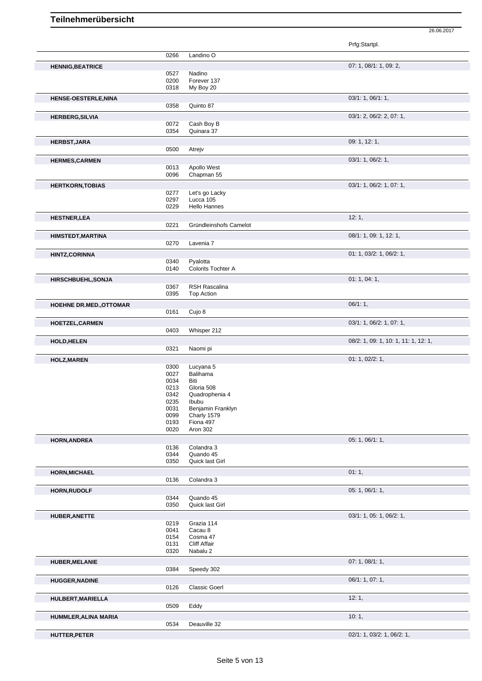|                                |              |                          | Prfg:Startpl.                        |
|--------------------------------|--------------|--------------------------|--------------------------------------|
|                                | 0266         | Landino O                |                                      |
| <b>HENNIG, BEATRICE</b>        |              |                          | 07: 1, 08/1: 1, 09: 2,               |
|                                | 0527         | Nadino                   |                                      |
|                                | 0200         | Forever 137              |                                      |
|                                | 0318         | My Boy 20                |                                      |
| HENSE-OESTERLE, NINA           |              |                          | 03/1: 1, 06/1: 1,                    |
|                                | 0358         | Quinto 87                |                                      |
| <b>HERBERG, SILVIA</b>         |              |                          | 03/1: 2, 06/2: 2, 07: 1,             |
|                                | 0072<br>0354 | Cash Boy B<br>Quinara 37 |                                      |
|                                |              |                          |                                      |
| <b>HERBST, JARA</b>            | 0500         | Atrejv                   | 09: 1, 12: 1,                        |
|                                |              |                          |                                      |
| <b>HERMES, CARMEN</b>          | 0013         | Apollo West              | 03/1: 1, 06/2: 1,                    |
|                                | 0096         | Chapman 55               |                                      |
|                                |              |                          |                                      |
| <b>HERTKORN, TOBIAS</b>        | 0277         | Let's go Lacky           | 03/1: 1, 06/2: 1, 07: 1,             |
|                                | 0297         | Lucca 105                |                                      |
|                                | 0229         | <b>Hello Hannes</b>      |                                      |
| <b>HESTNER,LEA</b>             |              |                          | 12:1,                                |
|                                | 0221         | Gründleinshofs Camelot   |                                      |
| <b>HIMSTEDT, MARTINA</b>       |              |                          | 08/1: 1, 09: 1, 12: 1,               |
|                                | 0270         | Lavenia 7                |                                      |
| <b>HINTZ, CORINNA</b>          |              |                          | 01: 1, 03/2: 1, 06/2: 1,             |
|                                | 0340         | Pyalotta                 |                                      |
|                                | 0140         | Colorits Tochter A       |                                      |
| <b>HIRSCHBUEHL, SONJA</b>      |              |                          | 01: 1, 04: 1,                        |
|                                | 0367         | RSH Rascalina            |                                      |
|                                | 0395         | Top Action               |                                      |
| <b>HOEHNE DR.MED., OTTOMAR</b> |              |                          | 06/1:1,                              |
|                                | 0161         | Cujo 8                   |                                      |
| HOETZEL, CARMEN                |              |                          | 03/1: 1, 06/2: 1, 07: 1,             |
|                                | 0403         | Whisper 212              |                                      |
| <b>HOLD, HELEN</b>             |              |                          | 08/2: 1, 09: 1, 10: 1, 11: 1, 12: 1, |
|                                | 0321         | Naomi pi                 |                                      |
| <b>HOLZ, MAREN</b>             |              |                          | 01: 1, 02/2: 1,                      |
|                                | 0300         | Lucyana 5                |                                      |
|                                | 0027         | Balihama                 |                                      |
|                                | 0034<br>0213 | Biti<br>Gloria 508       |                                      |
|                                | 0342         | Quadrophenia 4           |                                      |
|                                | 0235         | Ibubu                    |                                      |
|                                | 0031         | Benjamin Franklyn        |                                      |
|                                | 0099         | Charly 1579              |                                      |
|                                | 0193<br>0020 | Fiona 497<br>Aron 302    |                                      |
|                                |              |                          |                                      |
| <b>HORN, ANDREA</b>            |              |                          | 05: 1, 06/1: 1,                      |
|                                | 0136<br>0344 | Colandra 3<br>Quando 45  |                                      |
|                                | 0350         | Quick last Girl          |                                      |
| <b>HORN, MICHAEL</b>           |              |                          | 01:1,                                |
|                                | 0136         | Colandra 3               |                                      |
|                                |              |                          | 05: 1, 06/1: 1,                      |
| <b>HORN, RUDOLF</b>            | 0344         | Quando 45                |                                      |
|                                | 0350         | Quick last Girl          |                                      |
|                                |              |                          | 03/1: 1, 05: 1, 06/2: 1,             |
| <b>HUBER, ANETTE</b>           | 0219         | Grazia 114               |                                      |
|                                | 0041         | Cacau 8                  |                                      |
|                                | 0154         | Cosma 47                 |                                      |
|                                | 0131         | <b>Cliff Affair</b>      |                                      |
|                                | 0320         | Nabalu 2                 |                                      |
| <b>HUBER, MELANIE</b>          |              |                          | 07: 1, 08/1: 1,                      |
|                                | 0384         | Speedy 302               |                                      |
| <b>HUGGER, NADINE</b>          |              |                          | 06/1: 1, 07: 1,                      |
|                                | 0126         | <b>Classic Goerl</b>     |                                      |
| HULBERT, MARIELLA              |              |                          | 12:1,                                |
|                                | 0509         | Eddy                     |                                      |
|                                |              |                          |                                      |
| HUMMLER, ALINA MARIA           |              |                          | 10:1,                                |
|                                | 0534         | Deauville 32             |                                      |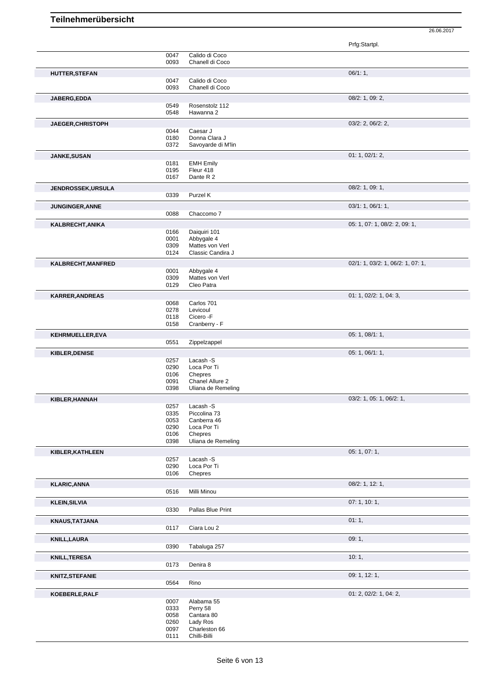|                          |              |                                       | Prfg:Startpl.                     |
|--------------------------|--------------|---------------------------------------|-----------------------------------|
|                          | 0047         | Calido di Coco                        |                                   |
|                          | 0093         | Chanell di Coco                       |                                   |
| HUTTER, STEFAN           |              |                                       | 06/1:1,                           |
|                          | 0047<br>0093 | Calido di Coco<br>Chanell di Coco     |                                   |
|                          |              |                                       | 08/2: 1, 09: 2,                   |
| JABERG, EDDA             | 0549         | Rosenstolz 112                        |                                   |
|                          | 0548         | Hawanna 2                             |                                   |
| JAEGER, CHRISTOPH        |              |                                       | 03/2: 2, 06/2: 2,                 |
|                          | 0044         | Caesar J                              |                                   |
|                          | 0180         | Donna Clara J<br>Savoyarde di M'lin   |                                   |
|                          | 0372         |                                       |                                   |
| JANKE, SUSAN             | 0181         | <b>EMH Emily</b>                      | 01: 1, 02/1: 2,                   |
|                          | 0195         | Fleur 418                             |                                   |
|                          | 0167         | Dante R 2                             |                                   |
| <b>JENDROSSEK,URSULA</b> |              |                                       | $08/2$ : 1, 09: 1,                |
|                          | 0339         | Purzel K                              |                                   |
| <b>JUNGINGER, ANNE</b>   |              |                                       | 03/1: 1, 06/1: 1,                 |
|                          | 0088         | Chaccomo 7                            |                                   |
| KALBRECHT, ANIKA         |              |                                       | 05: 1, 07: 1, 08/2: 2, 09: 1,     |
|                          | 0166         | Daiquiri 101                          |                                   |
|                          | 0001<br>0309 | Abbygale 4<br>Mattes von Verl         |                                   |
|                          | 0124         | Classic Candira J                     |                                   |
| KALBRECHT, MANFRED       |              |                                       | 02/1: 1, 03/2: 1, 06/2: 1, 07: 1, |
|                          | 0001         | Abbygale 4                            |                                   |
|                          | 0309         | Mattes von Verl                       |                                   |
|                          | 0129         | Cleo Patra                            |                                   |
| <b>KARRER, ANDREAS</b>   | 0068         | Carlos 701                            | 01: 1, 02/2: 1, 04: 3,            |
|                          | 0278         | Levicoul                              |                                   |
|                          | 0118         | Cicero - F                            |                                   |
|                          | 0158         | Cranberry - F                         |                                   |
| KEHRMUELLER, EVA         |              |                                       | 05: 1, 08/1: 1,                   |
|                          | 0551         | Zippelzappel                          |                                   |
| KIBLER, DENISE           | 0257         | Lacash -S                             | 05: 1, 06/1: 1,                   |
|                          | 0290         | Loca Por Ti                           |                                   |
|                          | 0106         | Chepres                               |                                   |
|                          | 0091<br>0398 | Chanel Allure 2<br>Uliana de Remeling |                                   |
|                          |              |                                       | 03/2: 1, 05: 1, 06/2: 1,          |
| KIBLER, HANNAH           | 0257         | Lacash -S                             |                                   |
|                          | 0335         | Piccolina 73                          |                                   |
|                          | 0053         | Canberra 46                           |                                   |
|                          | 0290<br>0106 | Loca Por Ti<br>Chepres                |                                   |
|                          | 0398         | Uliana de Remeling                    |                                   |
| KIBLER, KATHLEEN         |              |                                       | 05: 1, 07: 1,                     |
|                          | 0257         | Lacash -S                             |                                   |
|                          | 0290         | Loca Por Ti                           |                                   |
|                          | 0106         | Chepres                               |                                   |
| <b>KLARIC, ANNA</b>      | 0516         | Milli Minou                           | 08/2: 1, 12: 1,                   |
|                          |              |                                       |                                   |
| <b>KLEIN, SILVIA</b>     | 0330         | Pallas Blue Print                     | 07:1, 10:1,                       |
|                          |              |                                       | 01:1,                             |
| KNAUS, TATJANA           | 0117         | Ciara Lou 2                           |                                   |
| <b>KNILL, LAURA</b>      |              |                                       | 09:1,                             |
|                          | 0390         | Tabaluga 257                          |                                   |
|                          |              |                                       | 10:1,                             |
| <b>KNILL, TERESA</b>     | 0173         | Denira 8                              |                                   |
| <b>KNITZ, STEFANIE</b>   |              |                                       | 09: 1, 12: 1,                     |
|                          | 0564<br>Rino |                                       |                                   |
| KOEBERLE, RALF           |              |                                       | 01: 2, 02/2: 1, 04: 2,            |
|                          | 0007         | Alabama 55                            |                                   |
|                          | 0333         | Perry 58                              |                                   |
|                          | 0058         | Cantara 80                            |                                   |
|                          |              |                                       |                                   |
|                          | 0260<br>0097 | Lady Ros<br>Charleston 66             |                                   |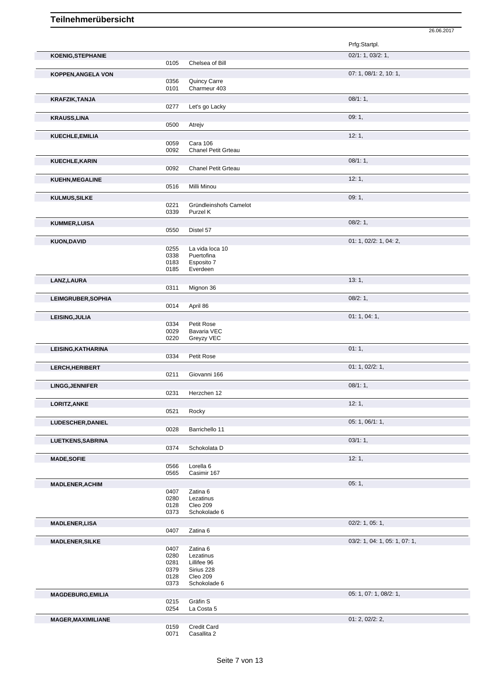| <b>KOENIG, STEPHANIE</b>  |              |                                               | 02/1: 1, 03/2: 1,             |
|---------------------------|--------------|-----------------------------------------------|-------------------------------|
|                           | 0105         | Chelsea of Bill                               |                               |
| <b>KOPPEN, ANGELA VON</b> |              |                                               | 07: 1, 08/1: 2, 10: 1,        |
|                           | 0356         | Quincy Carre                                  |                               |
|                           | 0101         | Charmeur 403                                  |                               |
| <b>KRAFZIK, TANJA</b>     |              |                                               | 08/1:1,                       |
|                           | 0277         | Let's go Lacky                                |                               |
| <b>KRAUSS, LINA</b>       |              |                                               | 09:1,                         |
|                           | 0500         | Atrejv                                        |                               |
| KUECHLE, EMILIA           |              |                                               | 12:1,                         |
|                           | 0059<br>0092 | <b>Cara 106</b><br><b>Chanel Petit Grteau</b> |                               |
|                           |              |                                               | 08/1:1,                       |
| KUECHLE, KARIN            | 0092         | Chanel Petit Grteau                           |                               |
|                           |              |                                               | 12:1,                         |
| <b>KUEHN, MEGALINE</b>    | 0516         | Milli Minou                                   |                               |
|                           |              |                                               | 09:1,                         |
| <b>KULMUS, SILKE</b>      | 0221         | Gründleinshofs Camelot                        |                               |
|                           | 0339         | Purzel K                                      |                               |
| <b>KUMMER, LUISA</b>      |              |                                               | 08/2:1,                       |
|                           | 0550         | Distel 57                                     |                               |
| <b>KUON, DAVID</b>        |              |                                               | 01: 1, 02/2: 1, 04: 2,        |
|                           | 0255         | La vida loca 10                               |                               |
|                           | 0338         | Puertofina                                    |                               |
|                           | 0183<br>0185 | Esposito 7<br>Everdeen                        |                               |
| LANZ, LAURA               |              |                                               | 13:1,                         |
|                           | 0311         | Mignon 36                                     |                               |
|                           |              |                                               | 08/2:1,                       |
| <b>LEIMGRUBER, SOPHIA</b> | 0014         | April 86                                      |                               |
| LEISING, JULIA            |              |                                               | 01:1,04:1,                    |
|                           | 0334         | Petit Rose                                    |                               |
|                           | 0029         | Bavaria VEC                                   |                               |
|                           | 0220         | Greyzy VEC                                    |                               |
| LEISING, KATHARINA        |              |                                               | 01:1,                         |
|                           |              |                                               |                               |
|                           | 0334         | Petit Rose                                    |                               |
| LERCH, HERIBERT           |              |                                               | 01: 1, 02/2: 1,               |
|                           | 0211         | Giovanni 166                                  |                               |
| <b>LINGG, JENNIFER</b>    |              |                                               | 08/1:1,                       |
|                           | 0231         | Herzchen 12                                   |                               |
| LORITZ, ANKE              |              |                                               | 12:1,                         |
|                           | 0521         | Rocky                                         |                               |
| <b>LUDESCHER, DANIEL</b>  |              |                                               | 05: 1, 06/1: 1,               |
|                           | 0028         | Barrichello 11                                |                               |
| LUETKENS, SABRINA         |              |                                               | 03/1:1,                       |
|                           | 0374         | Schokolata D                                  |                               |
| <b>MADE, SOFIE</b>        |              |                                               | 12:1,                         |
|                           | 0566<br>0565 | Lorella <sub>6</sub><br>Casimir 167           |                               |
|                           |              |                                               |                               |
| <b>MADLENER, ACHIM</b>    | 0407         | Zatina 6                                      | 05:1,                         |
|                           | 0280         | Lezatinus                                     |                               |
|                           | 0128         | Cleo 209                                      |                               |
|                           | 0373         | Schokolade 6                                  |                               |
| <b>MADLENER,LISA</b>      |              |                                               | $02/2$ : 1, 05: 1,            |
|                           | 0407         | Zatina 6                                      |                               |
| <b>MADLENER, SILKE</b>    |              |                                               | 03/2: 1, 04: 1, 05: 1, 07: 1, |
|                           | 0407<br>0280 | Zatina 6<br>Lezatinus                         |                               |
|                           | 0281         | Lillifee 96                                   |                               |
|                           | 0379         | Sirius 228                                    |                               |
|                           | 0128<br>0373 | Cleo 209<br>Schokolade 6                      |                               |
|                           |              |                                               |                               |
| <b>MAGDEBURG, EMILIA</b>  | 0215         | Gräfin S                                      | 05: 1, 07: 1, 08/2: 1,        |
|                           | 0254         | La Costa 5                                    |                               |
| <b>MAGER, MAXIMILIANE</b> |              |                                               | 01: 2, 02/2: 2,               |
|                           | 0159<br>0071 | Credit Card<br>Casallita 2                    |                               |

Prfg:Startpl.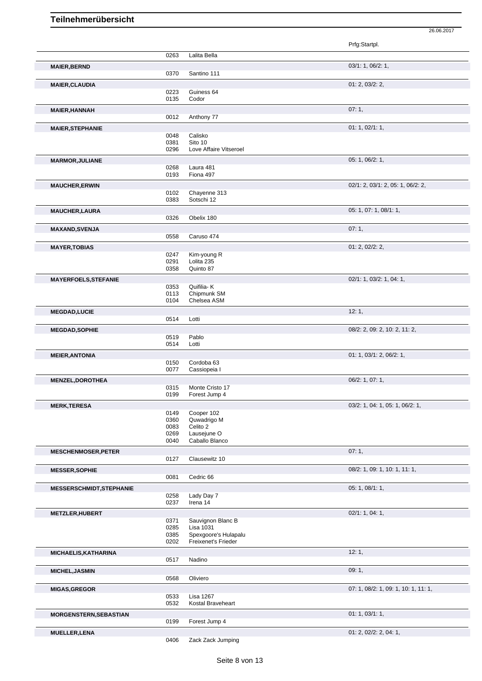|                                 |              |                            | Prfg:Startpl.                        |
|---------------------------------|--------------|----------------------------|--------------------------------------|
|                                 | 0263         | Lalita Bella               |                                      |
| <b>MAIER, BERND</b>             |              |                            | 03/1: 1, 06/2: 1,                    |
|                                 | 0370         | Santino 111                |                                      |
| <b>MAIER, CLAUDIA</b>           |              |                            | 01: 2, 03/2: 2,                      |
|                                 | 0223         | Guiness 64                 |                                      |
|                                 | 0135         | Codor                      |                                      |
| <b>MAIER, HANNAH</b>            |              |                            | 07:1,                                |
|                                 | 0012         | Anthony 77                 |                                      |
| <b>MAIER, STEPHANIE</b>         |              |                            | 01: 1, 02/1: 1,                      |
|                                 | 0048         | Calisko                    |                                      |
|                                 | 0381         | Sito 10                    |                                      |
|                                 | 0296         | Love Affaire Vitseroel     |                                      |
| <b>MARMOR, JULIANE</b>          |              |                            | 05: 1, 06/2: 1,                      |
|                                 | 0268<br>0193 | Laura 481<br>Fiona 497     |                                      |
|                                 |              |                            |                                      |
| <b>MAUCHER, ERWIN</b>           |              |                            | 02/1: 2, 03/1: 2, 05: 1, 06/2: 2,    |
|                                 | 0102<br>0383 | Chayenne 313<br>Sotschi 12 |                                      |
|                                 |              |                            |                                      |
| <b>MAUCHER, LAURA</b>           |              |                            | 05: 1, 07: 1, 08/1: 1,               |
|                                 | 0326         | Obelix 180                 |                                      |
| <b>MAXAND, SVENJA</b>           |              |                            | 07:1,                                |
|                                 | 0558         | Caruso 474                 |                                      |
| <b>MAYER, TOBIAS</b>            |              |                            | 01: 2, 02/2: 2,                      |
|                                 | 0247         | Kim-young R                |                                      |
|                                 | 0291<br>0358 | Lolita 235<br>Quinto 87    |                                      |
|                                 |              |                            |                                      |
| <b>MAYERFOELS, STEFANIE</b>     |              |                            | 02/1: 1, 03/2: 1, 04: 1,             |
|                                 | 0353<br>0113 | Quifilia-K<br>Chipmunk SM  |                                      |
|                                 | 0104         | Chelsea ASM                |                                      |
| <b>MEGDAD,LUCIE</b>             |              |                            | 12:1,                                |
|                                 | 0514         | Lotti                      |                                      |
| <b>MEGDAD, SOPHIE</b>           |              |                            | 08/2: 2, 09: 2, 10: 2, 11: 2,        |
|                                 | 0519         | Pablo                      |                                      |
|                                 | 0514         | Lotti                      |                                      |
| <b>MEIER, ANTONIA</b>           |              |                            | 01: 1, 03/1: 2, 06/2: 1,             |
|                                 | 0150         | Cordoba 63                 |                                      |
|                                 | 0077         | Cassiopeia I               |                                      |
| <b>MENZEL, DOROTHEA</b>         |              |                            | 06/2: 1, 07: 1,                      |
|                                 | 0315         | Monte Cristo 17            |                                      |
|                                 | 0199         | Forest Jump 4              |                                      |
| <b>MERK, TERESA</b>             |              |                            | 03/2: 1, 04: 1, 05: 1, 06/2: 1,      |
|                                 | 0149         | Cooper 102                 |                                      |
|                                 | 0360         | Quwadrigo M                |                                      |
|                                 | 0083<br>0269 | Celito 2<br>Lausejune O    |                                      |
|                                 | 0040         | Caballo Blanco             |                                      |
| <b>MESCHENMOSER, PETER</b>      |              |                            | 07:1,                                |
|                                 | 0127         | Clausewitz 10              |                                      |
| <b>MESSER, SOPHIE</b>           |              |                            | 08/2: 1, 09: 1, 10: 1, 11: 1,        |
|                                 | 0081         | Cedric 66                  |                                      |
|                                 |              |                            |                                      |
| <b>MESSERSCHMIDT, STEPHANIE</b> | 0258         | Lady Day 7                 | 05: 1, 08/1: 1,                      |
|                                 | 0237         | Irena 14                   |                                      |
|                                 |              |                            |                                      |
| <b>METZLER, HUBERT</b>          | 0371         | Sauvignon Blanc B          | 02/1: 1, 04: 1,                      |
|                                 | 0285         | Lisa 1031                  |                                      |
|                                 | 0385         | Spexgoore's Hulapalu       |                                      |
|                                 | 0202         | Freixenet's Frieder        |                                      |
| <b>MICHAELIS, KATHARINA</b>     |              |                            | 12:1,                                |
|                                 | 0517         | Nadino                     |                                      |
| <b>MICHEL, JASMIN</b>           |              |                            | 09: 1,                               |
|                                 | 0568         | Oliviero                   |                                      |
| <b>MIGAS, GREGOR</b>            |              |                            | 07: 1, 08/2: 1, 09: 1, 10: 1, 11: 1, |
|                                 | 0533         | Lisa 1267                  |                                      |
|                                 | 0532         | Kostal Braveheart          |                                      |
| <b>MORGENSTERN, SEBASTIAN</b>   |              |                            | 01: 1, 03/1: 1,                      |
|                                 | 0199         | Forest Jump 4              |                                      |
| <b>MUELLER, LENA</b>            |              |                            | 01: 2, 02/2: 2, 04: 1,               |
|                                 | 0406         | Zack Zack Jumping          |                                      |
|                                 |              |                            |                                      |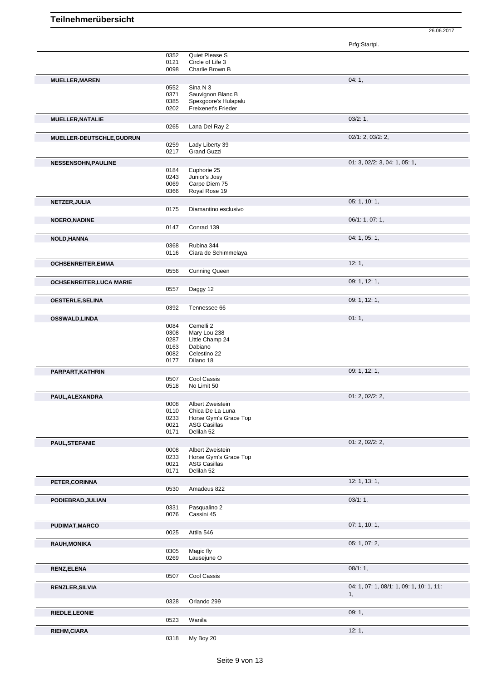|                                 |              |                               | Prfg:Startpl.                            |
|---------------------------------|--------------|-------------------------------|------------------------------------------|
|                                 | 0352         | Quiet Please S                |                                          |
|                                 | 0121         | Circle of Life 3              |                                          |
|                                 | 0098         | Charlie Brown B               |                                          |
| <b>MUELLER, MAREN</b>           |              |                               | 04:1,                                    |
|                                 | 0552<br>0371 | Sina N 3<br>Sauvignon Blanc B |                                          |
|                                 | 0385         | Spexgoore's Hulapalu          |                                          |
|                                 | 0202         | Freixenet's Frieder           |                                          |
| <b>MUELLER, NATALIE</b>         |              |                               | 03/2:1,                                  |
|                                 | 0265         | Lana Del Ray 2                |                                          |
|                                 |              |                               | 02/1: 2, 03/2: 2,                        |
| MUELLER-DEUTSCHLE, GUDRUN       | 0259         | Lady Liberty 39               |                                          |
|                                 | 0217         | <b>Grand Guzzi</b>            |                                          |
|                                 |              |                               | 01: 3, 02/2: 3, 04: 1, 05: 1,            |
| <b>NESSENSOHN, PAULINE</b>      | 0184         | Euphorie 25                   |                                          |
|                                 | 0243         | Junior's Josy                 |                                          |
|                                 | 0069         | Carpe Diem 75                 |                                          |
|                                 | 0366         | Royal Rose 19                 |                                          |
| NETZER, JULIA                   |              |                               | 05: 1, 10: 1,                            |
|                                 | 0175         | Diamantino esclusivo          |                                          |
| <b>NOERO, NADINE</b>            |              |                               | 06/1: 1, 07: 1,                          |
|                                 | 0147         | Conrad 139                    |                                          |
|                                 |              |                               |                                          |
| <b>NOLD, HANNA</b>              | 0368         | Rubina 344                    | 04: 1, 05: 1,                            |
|                                 | 0116         | Ciara de Schimmelaya          |                                          |
|                                 |              |                               |                                          |
| <b>OCHSENREITER, EMMA</b>       | 0556         | <b>Cunning Queen</b>          | 12:1,                                    |
|                                 |              |                               |                                          |
| <b>OCHSENREITER, LUCA MARIE</b> |              |                               | 09: 1, 12: 1,                            |
|                                 | 0557         | Daggy 12                      |                                          |
| <b>OESTERLE, SELINA</b>         |              |                               | 09: 1, 12: 1,                            |
|                                 | 0392         | Tennessee 66                  |                                          |
| <b>OSSWALD,LINDA</b>            |              |                               | 01:1,                                    |
|                                 | 0084         | Cemelli 2                     |                                          |
|                                 | 0308         | Mary Lou 238                  |                                          |
|                                 | 0287         | Little Champ 24               |                                          |
|                                 | 0163<br>0082 | Dabiano<br>Celestino 22       |                                          |
|                                 | 0177         | Dilano 18                     |                                          |
|                                 |              |                               |                                          |
| PARPART, KATHRIN                | 0507         | Cool Cassis                   | 09: 1, 12: 1,                            |
|                                 | 0518         | No Limit 50                   |                                          |
|                                 |              |                               | 01: 2, 02/2: 2,                          |
| PAUL, ALEXANDRA                 | 0008         | Albert Zweistein              |                                          |
|                                 | 0110         | Chica De La Luna              |                                          |
|                                 | 0233         | Horse Gym's Grace Top         |                                          |
|                                 | 0021         | <b>ASG Casillas</b>           |                                          |
|                                 | 0171         | Delilah 52                    |                                          |
| <b>PAUL, STEFANIE</b>           |              |                               | 01: 2, 02/2: 2,                          |
|                                 | 0008         | Albert Zweistein              |                                          |
|                                 | 0233         | Horse Gym's Grace Top         |                                          |
|                                 | 0021         | <b>ASG Casillas</b>           |                                          |
|                                 | 0171         | Delilah 52                    |                                          |
| PETER, CORINNA                  |              |                               | 12: 1, 13: 1,                            |
|                                 | 0530         | Amadeus 822                   |                                          |
| PODIEBRAD, JULIAN               |              |                               | 03/1:1,                                  |
|                                 | 0331         | Pasqualino 2                  |                                          |
|                                 | 0076         | Cassini 45                    |                                          |
| <b>PUDIMAT, MARCO</b>           |              |                               | 07: 1, 10: 1,                            |
|                                 | 0025         | Attila 546                    |                                          |
| <b>RAUH, MONIKA</b>             |              |                               | 05: 1, 07: 2,                            |
|                                 | 0305         | Magic fly                     |                                          |
|                                 | 0269         | Lausejune O                   |                                          |
| <b>RENZ,ELENA</b>               |              |                               | 08/1:1,                                  |
|                                 | 0507         | Cool Cassis                   |                                          |
|                                 |              |                               |                                          |
| <b>RENZLER, SILVIA</b>          |              |                               | 04: 1, 07: 1, 08/1: 1, 09: 1, 10: 1, 11: |
|                                 | 0328         | Orlando 299                   | 1,                                       |
|                                 |              |                               |                                          |
| RIEDLE, LEONIE                  |              |                               | 09:1,                                    |
|                                 | 0523         | Wanila                        |                                          |
| RIEHM, CIARA                    |              |                               | 12:1,                                    |
|                                 | 0318         | My Boy 20                     |                                          |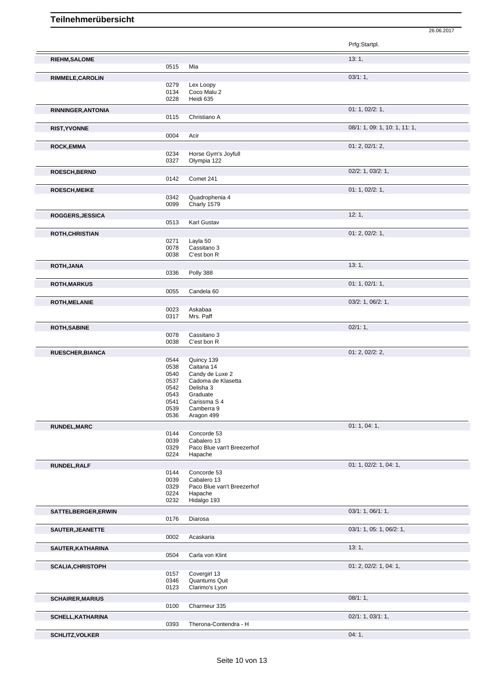|                           |              |                               | Prfg:Startpl.                 |
|---------------------------|--------------|-------------------------------|-------------------------------|
|                           |              |                               |                               |
| <b>RIEHM, SALOME</b>      |              |                               | 13:1,                         |
|                           | 0515         | Mia                           |                               |
| RIMMELE, CAROLIN          |              |                               | 03/1:1,                       |
|                           | 0279         | Lex Loopy                     |                               |
|                           | 0134         | Coco Malu 2                   |                               |
|                           | 0228         | Heidi 635                     |                               |
| <b>RINNINGER, ANTONIA</b> |              |                               | 01: 1, 02/2: 1,               |
|                           | 0115         | Christiano A                  |                               |
|                           |              |                               |                               |
| <b>RIST, YVONNE</b>       |              |                               | 08/1: 1, 09: 1, 10: 1, 11: 1, |
|                           | 0004         | Acir                          |                               |
| <b>ROCK,EMMA</b>          |              |                               | 01: 2, 02/1: 2,               |
|                           | 0234         | Horse Gym's Joyfull           |                               |
|                           | 0327         | Olympia 122                   |                               |
|                           |              |                               |                               |
| ROESCH, BERND             |              |                               | $02/2$ : 1, $03/2$ : 1,       |
|                           | 0142         | Comet 241                     |                               |
| <b>ROESCH, MEIKE</b>      |              |                               | 01: 1, 02/2: 1,               |
|                           | 0342         | Quadrophenia 4                |                               |
|                           | 0099         | Charly 1579                   |                               |
|                           |              |                               |                               |
| ROGGERS, JESSICA          |              |                               | 12:1,                         |
|                           | 0513         | Karl Gustav                   |                               |
| ROTH, CHRISTIAN           |              |                               | 01: 2, 02/2: 1,               |
|                           | 0271         | Layla 50                      |                               |
|                           | 0078         | Cassitano 3                   |                               |
|                           | 0038         | C'est bon R                   |                               |
|                           |              |                               |                               |
| <b>ROTH, JANA</b>         |              |                               | 13:1,                         |
|                           | 0336         | Polly 388                     |                               |
| <b>ROTH,MARKUS</b>        |              |                               | 01: 1, 02/1: 1,               |
|                           | 0055         | Candela 60                    |                               |
|                           |              |                               |                               |
| <b>ROTH, MELANIE</b>      |              |                               | 03/2: 1, 06/2: 1,             |
|                           | 0023         | Askabaa                       |                               |
|                           | 0317         | Mrs. Paff                     |                               |
| <b>ROTH, SABINE</b>       |              |                               | 02/1:1,                       |
|                           | 0078         | Cassitano 3                   |                               |
|                           | 0038         | C'est bon R                   |                               |
|                           |              |                               |                               |
| <b>RUESCHER, BIANCA</b>   |              |                               | 01: 2, 02/2: 2,               |
|                           | 0544         | Quincy 139                    |                               |
|                           | 0538<br>0540 | Caitana 14<br>Candy de Luxe 2 |                               |
|                           | 0537         | Cadoma de Klasetta            |                               |
|                           | 0542         | Delisha 3                     |                               |
|                           | 0543         | Graduate                      |                               |
|                           | 0541         | Carissma S 4                  |                               |
|                           | 0539         | Camberra 9                    |                               |
|                           | 0536         | Aragon 499                    |                               |
|                           |              |                               |                               |
| <b>RUNDEL, MARC</b>       |              |                               | 01: 1, 04: 1,                 |
|                           | 0144         | Concorde 53                   |                               |
|                           | 0039         | Cabalero 13                   |                               |
|                           | 0329         | Paco Blue van't Breezerhof    |                               |
|                           | 0224         | Hapache                       |                               |
| RUNDEL, RALF              |              |                               | 01: 1, 02/2: 1, 04: 1,        |
|                           | 0144         | Concorde 53                   |                               |
|                           | 0039         | Cabalero 13                   |                               |
|                           | 0329         | Paco Blue van't Breezerhof    |                               |
|                           | 0224         | Hapache                       |                               |
|                           | 0232         | Hidalgo 193                   |                               |
| SATTELBERGER, ERWIN       |              |                               | 03/1: 1, 06/1: 1,             |
|                           | 0176         | Diarosa                       |                               |
|                           |              |                               |                               |
| SAUTER, JEANETTE          |              |                               | 03/1: 1, 05: 1, 06/2: 1,      |
|                           | 0002         | Acaskaria                     |                               |
| SAUTER, KATHARINA         |              |                               | 13:1,                         |
|                           | 0504         | Carla von Klint               |                               |
|                           |              |                               |                               |
| <b>SCALIA, CHRISTOPH</b>  |              |                               | 01: 2, 02/2: 1, 04: 1,        |
|                           | 0157         | Covergirl 13                  |                               |
|                           | 0346         | Quantums Quit                 |                               |
|                           | 0123         | Clarimo's Lyon                |                               |

**SCHELL,KATHARINA** 0393 Therona-Contendra - H 02/1: 1, 03/1: 1, 03/1: 1, 03/1: 1, Therona-Contendra - H **SCHLITZ, VOLKER** 04: 1,

**SCHAIRER, MARIUS** 08/1: 1, 0100 Charmeur 335 Charmeur 335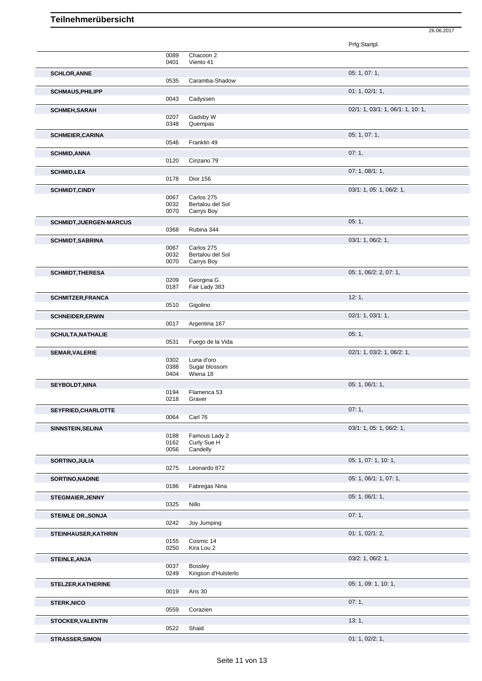|                                |              |                                       | Prfg:Startpl.                     |
|--------------------------------|--------------|---------------------------------------|-----------------------------------|
|                                | 0089<br>0401 | Chacoon 2<br>Viento 41                |                                   |
| <b>SCHLOR, ANNE</b>            |              |                                       | 05: 1, 07: 1,                     |
|                                | 0535         | Caramba-Shadow                        |                                   |
| <b>SCHMAUS, PHILIPP</b>        | 0043         | Cadyssen                              | 01: 1, 02/1: 1,                   |
| <b>SCHMEH, SARAH</b>           |              |                                       | 02/1: 1, 03/1: 1, 06/1: 1, 10: 1, |
|                                | 0207         | Gadsby W                              |                                   |
|                                | 0348         | Quempas                               | 05: 1, 07: 1,                     |
| <b>SCHMEIER, CARINA</b>        | 0546         | Franklin 49                           |                                   |
| <b>SCHMID, ANNA</b>            |              |                                       | 07:1,                             |
|                                | 0120         | Cinzano 79                            |                                   |
| <b>SCHMID,LEA</b>              | 0178         | <b>Dior 156</b>                       | 07: 1, 08/1: 1,                   |
| <b>SCHMIDT,CINDY</b>           |              |                                       | 03/1: 1, 05: 1, 06/2: 1,          |
|                                | 0067         | Carlos 275                            |                                   |
|                                | 0032         | Bertalou del Sol                      |                                   |
|                                | 0070         | Carrys Boy                            |                                   |
| <b>SCHMIDT, JUERGEN-MARCUS</b> | 0368         | Rubina 344                            | 05:1,                             |
| <b>SCHMIDT, SABRINA</b>        |              |                                       | 03/1: 1, 06/2: 1,                 |
|                                | 0067         | Carlos 275                            |                                   |
|                                | 0032<br>0070 | Bertalou del Sol<br>Carrys Boy        |                                   |
| <b>SCHMIDT, THERESA</b>        |              |                                       | 05: 1, 06/2: 2, 07: 1,            |
|                                | 0209         | Georgina G.                           |                                   |
|                                | 0187         | Fair Lady 383                         |                                   |
| <b>SCHMITZER, FRANCA</b>       | 0510         | Gigolino                              | 12:1,                             |
| <b>SCHNEIDER, ERWIN</b>        |              |                                       | 02/1: 1, 03/1: 1,                 |
|                                | 0017         | Argentina 167                         |                                   |
| <b>SCHULTA, NATHALIE</b>       |              |                                       | 05:1,                             |
|                                | 0531         | Fuego de la Vida                      |                                   |
| <b>SEMAR, VALERIE</b>          | 0302         | Luna d'oro                            | 02/1: 1, 03/2: 1, 06/2: 1,        |
|                                | 0388         | Sugar blossom                         |                                   |
|                                | 0404         | Wiena 18                              |                                   |
| SEYBOLDT, NINA                 |              |                                       | 05: 1, 06/1: 1,                   |
|                                | 0194<br>0218 | Flamenca 53<br>Graver                 |                                   |
| SEYFRIED, CHARLOTTE            |              |                                       | 07:1,                             |
|                                | 0064         | Carl 76                               |                                   |
| SINNSTEIN, SELINA              |              |                                       | 03/1: 1, 05: 1, 06/2: 1,          |
|                                | 0188<br>0162 | Famous Lady 2<br>Curly Sue H          |                                   |
|                                | 0056         | Candelly                              |                                   |
| SORTINO, JULIA                 | 0275         | Leonardo 872                          | 05: 1, 07: 1, 10: 1,              |
| SORTINO, NADINE                |              |                                       | 05: 1, 06/1: 1, 07: 1,            |
|                                | 0186         | Fabregas Nina                         |                                   |
| <b>STEGMAIER, JENNY</b>        |              |                                       | 05: 1, 06/1: 1,                   |
|                                | 0325         | Nillo                                 |                                   |
| <b>STEIMLE DR., SONJA</b>      |              |                                       | 07:1,                             |
|                                | 0242         | Joy Jumping                           |                                   |
| STEINHAUSER, KATHRIN           | 0155         | Cosmic 14                             | 01: 1, 02/1: 2,                   |
|                                | 0250         | Kira Lou 2                            |                                   |
| <b>STEINLE, ANJA</b>           |              |                                       | 03/2: 1, 06/2: 1,                 |
|                                | 0037<br>0249 | <b>Bossley</b><br>Kingson d'Hulsterlo |                                   |
| STELZER, KATHERINE             |              |                                       | 05: 1, 09: 1, 10: 1,              |
|                                | 0019         | Aris 30                               |                                   |
| <b>STERK, NICO</b>             |              |                                       | 07:1,                             |
|                                | 0559         | Corazien                              |                                   |
| <b>STOCKER, VALENTIN</b>       | 0522         | Shaid                                 | 13:1,                             |
| <b>STRASSER, SIMON</b>         |              |                                       | 01: 1, 02/2: 1,                   |
|                                |              |                                       |                                   |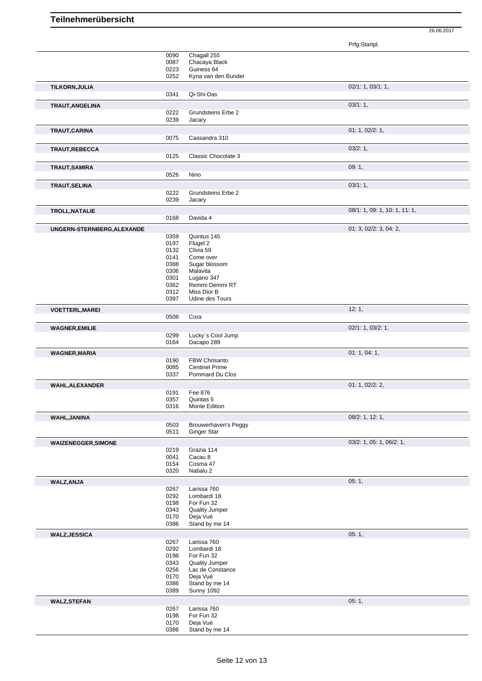Prfg:Startpl. 0090 Chagall 255 0087 Chacaya Black<br>0223 Guiness 64 0223 Guiness 64<br>0252 Kyna van d Kyna van den Bunder **TILKORN,JULIA** 02/1: 1, 03/1: 1, 0341 Qi-Shi-Das **TRAUT,ANGELINA** 03/1: 1, 0222 Grundsteins Erbe 2<br>0239 Jacary Jacary **TRAUT,CARINA** 01: 1, 02/2: 1, 0075 Cassandra 310 **TRAUT,REBECCA** 03/2: 1, 0125 Classic Chocolate 3 **TRAUT,SAMIRA** 09: 1, Nino **TRAUT,SELINA** 03/1: 1, 03/1: 1, 03/1: 1, 03/1: 1, 03/1: 1, 03/1: 1, 03/1: 1, 03/1: 1, 03/1: 1, 03/1: 1, 03/1: 1, 03/1: 1, 03/1: 1, 03/1: 1, 03/1: 1, 03/1: 1, 0222 0222 Grundsteins Erbe 2<br>0239 Jacary Jacary **TROLL,NATALIE** 0168 Davida 4 0168 Davida 4 0168 Davida 4 Davida 4 **UNGERN-STERNBERG, ALEXANDE** 0359 Quintus 145 01: 3, 02/2: 3, 04: 2, 0359 Quintus 145<br>0197 Flügel 2 0197 Flügel 2<br>0132 Clivia 59 0132 Clivia 59<br>0141 Come ov Come over 0388 Sugar blossom<br>0306 Malayita 0306 Malavita<br>0301 Lugano 0301 Lugano 347 Remmi Demmi RT 0312 Miss Dior B 0397 Udine des Tours **VOETTERL, MAREI** 12: 1, 0508 Cora **WAGNER,EMILIE** 02/1: 1, 03/2: 1, 0299 Lucky`s Cool Jump 0164 Dacapo 289 **WAGNER, MARIA** 01: 1, 04: 1, 04: 1, 04: 1, 04: 1, 04: 1, 04: 1, 04: 1, 04: 1, 04: 1, 04: 1, 04: 1, 04: 1, 04: 1, 04: 1, 04: 1, 04: 1, 04: 1, 04: 1, 04: 1, 04: 1, 04: 1, 04: 1, 04: 1, 04: 1, 04: 1, 04: 1, 04: 1, 04: 1, 04: 0190 FBW Chrisanto<br>0085 Centinel Prime 0085 Centinel Prime<br>0337 Pommard Du C Pommard Du Clos **WAHL,ALEXANDER** 01: 1, 02/2: 2, 0191 Fee 876<br>0357 Quintas 0357 Quintas 5<br>0316 Monte Edi Monte Edition **WAHL,JANINA** 08/2: 1, 12: 1, 08/2: 1, 12: 1, 08/2: 1, 12: 1, 08/2: 1, 12: 1, 08/2: 1, 12: 1, 08/2: 1, 12: 1, 0503 Brouwerhaven's Peggy<br>0511 Ginger Star Ginger Star **WAIZENEGGER,SIMONE** 03/2: 1, 05: 1, 06/2: 1, 0219 Grazia 114<br>0041 Cacau 8 0041 Cacau 8<br>0154 Cosma 4 0154 Cosma 47<br>0320 Nabalu 2 Nabalu 2 **WALZ,ANJA** 05: 1, 0267 Larissa 760<br>0292 Lombardi 18 0292 Lombardi 18<br>0198 For Fun 32 For Fun 32 0343 Quality Jumper 0170 Deja Vué 0386 Stand by me 14 **WALZ,JESSICA** 05: 1, 05: 1, 05: 1, 05: 1, 05: 1, 05: 1, 05: 1, 05: 1, 05: 1, 05: 1, 05: 1, 05: 1, 05: 1, 05: 1, 05: 1, 05: 1, 05: 1, 05: 1, 05: 1, 05: 1, 05: 1, 05: 1, 05: 1, 05: 1, 05: 1, 05: 1, 05: 1, 05: 1, 05: 1, 05: 0267 Larissa 760<br>0292 Lombardi 18 0292 Lombardi 18<br>0198 For Fun 32 0198 For Fun 32<br>0343 Quality Jum 0343 Quality Jumper<br>0256 Lac de Constar 0256 Lac de Constance<br>0170 Deja Vué 0170 Deja Vué<br>0386 Stand by 0386 Stand by me 14<br>0389 Sunny 1092 Sunny 1092 **WALZ,STEFAN** 05: 1, 0267 Larissa 760<br>0198 For Fun 32 0198 For Fun 32<br>0170 Deja Vué 0170 Deja Vué<br>0386 Stand by Stand by me 14